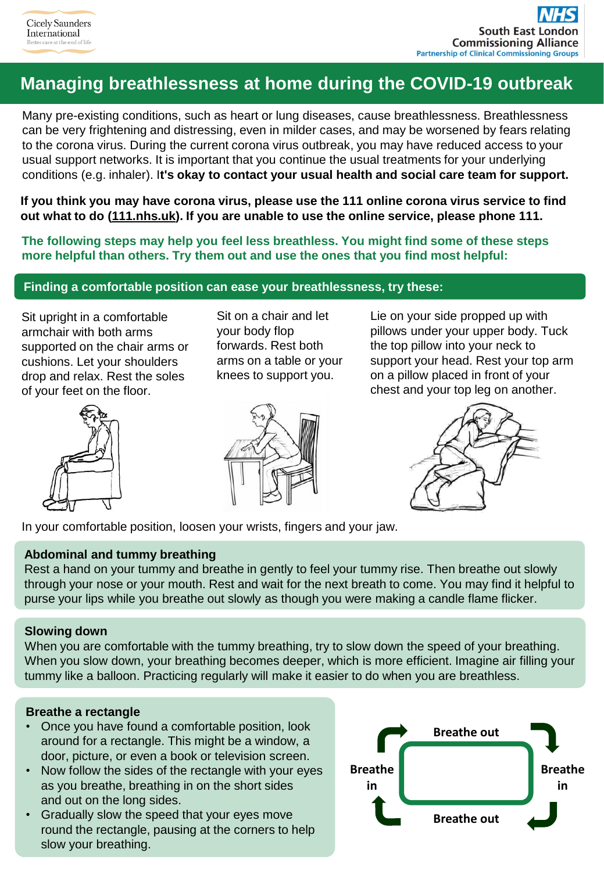# **Managing breathlessness at home during the COVID-19 outbreak**

Many pre-existing conditions, such as heart or lung diseases, cause breathlessness. Breathlessness can be very frightening and distressing, even in milder cases, and may be worsened by fears relating to the corona virus. During the current corona virus outbreak, you may have reduced access to your usual support networks. It is important that you continue the usual treatments for your underlying conditions (e.g. inhaler). I**t's okay to contact your usual health and social care team for support.**

**If you think you may have corona virus, please use the 111 online corona virus service to find out what to do [\(111.nhs.uk](https://111.nhs.uk/)). If you are unable to use the online service, please phone 111.**

**The following steps may help you feel less breathless. You might find some of these steps more helpful than others. Try them out and use the ones that you find most helpful:**

## **Finding a comfortable position can ease your breathlessness, try these:**

Sit upright in a comfortable armchair with both arms supported on the chair arms or cushions. Let your shoulders drop and relax. Rest the soles of your feet on the floor.



Sit on a chair and let your body flop forwards. Rest both arms on a table or your knees to support you.



Lie on your side propped up with pillows under your upper body. Tuck the top pillow into your neck to support your head. Rest your top arm on a pillow placed in front of your chest and your top leg on another.



In your comfortable position, loosen your wrists, fingers and your jaw.

### **Abdominal and tummy breathing**

Rest a hand on your tummy and breathe in gently to feel your tummy rise. Then breathe out slowly through your nose or your mouth. Rest and wait for the next breath to come. You may find it helpful to purse your lips while you breathe out slowly as though you were making a candle flame flicker.

### **Slowing down**

When you are comfortable with the tummy breathing, try to slow down the speed of your breathing. When you slow down, your breathing becomes deeper, which is more efficient. Imagine air filling your tummy like a balloon. Practicing regularly will make it easier to do when you are breathless.

## **Breathe a rectangle**

- Once you have found a comfortable position, look around for a rectangle. This might be a window, a door, picture, or even a book or television screen.
- Now follow the sides of the rectangle with your eyes as you breathe, breathing in on the short sides and out on the long sides.
- Gradually slow the speed that your eyes move round the rectangle, pausing at the corners to help slow your breathing.